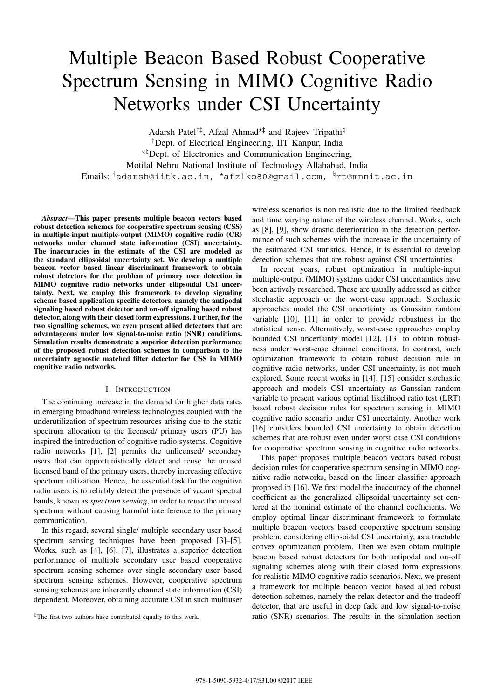# Multiple Beacon Based Robust Cooperative Spectrum Sensing in MIMO Cognitive Radio Networks under CSI Uncertainty

Adarsh Patel<sup>†‡</sup>, Afzal Ahmad<sup>\*‡</sup> and Rajeev Tripathi<sup> $\natural$ </sup> †Dept. of Electrical Engineering, IIT Kanpur, India ★♮Dept. of Electronics and Communication Engineering, Motilal Nehru National Institute of Technology Allahabad, India Emails: <sup>†</sup>adarsh@iitk.ac.in, \*afzlko80@gmail.com, <sup>‡</sup>rt@mnnit.ac.in

*Abstract***—This paper presents multiple beacon vectors based robust detection schemes for cooperative spectrum sensing (CSS) in multiple-input multiple-output (MIMO) cognitive radio (CR) networks under channel state information (CSI) uncertainty. The inaccuracies in the estimate of the CSI are modeled as the standard ellipsoidal uncertainty set. We develop a multiple beacon vector based linear discriminant framework to obtain robust detectors for the problem of primary user detection in MIMO cognitive radio networks under ellipsoidal CSI uncertainty. Next, we employ this framework to develop signaling scheme based application specific detectors, namely the antipodal signaling based robust detector and on-off signaling based robust detector, along with their closed form expressions. Further, for the two signalling schemes, we even present allied detectors that are advantageous under low signal-to-noise ratio (SNR) conditions. Simulation results demonstrate a superior detection performance of the proposed robust detection schemes in comparison to the uncertainty agnostic matched filter detector for CSS in MIMO cognitive radio networks.**

## I. INTRODUCTION

The continuing increase in the demand for higher data rates in emerging broadband wireless technologies coupled with the underutilization of spectrum resources arising due to the static spectrum allocation to the licensed/ primary users (PU) has inspired the introduction of cognitive radio systems. Cognitive radio networks [1], [2] permits the unlicensed/ secondary users that can opportunistically detect and reuse the unused licensed band of the primary users, thereby increasing effective spectrum utilization. Hence, the essential task for the cognitive radio users is to reliably detect the presence of vacant spectral bands, known as *spectrum sensing*, in order to reuse the unused spectrum without causing harmful interference to the primary communication.

In this regard, several single/ multiple secondary user based spectrum sensing techniques have been proposed [3]–[5]. Works, such as [4], [6], [7], illustrates a superior detection performance of multiple secondary user based cooperative spectrum sensing schemes over single secondary user based spectrum sensing schemes. However, cooperative spectrum sensing schemes are inherently channel state information (CSI) dependent. Moreover, obtaining accurate CSI in such multiuser wireless scenarios is non realistic due to the limited feedback and time varying nature of the wireless channel. Works, such as [8], [9], show drastic deterioration in the detection performance of such schemes with the increase in the uncertainty of the estimated CSI statistics. Hence, it is essential to develop detection schemes that are robust against CSI uncertainties.

In recent years, robust optimization in multiple-input multiple-output (MIMO) systems under CSI uncertainties have been actively researched. These are usually addressed as either stochastic approach or the worst-case approach. Stochastic approaches model the CSI uncertainty as Gaussian random variable [10], [11] in order to provide robustness in the statistical sense. Alternatively, worst-case approaches employ bounded CSI uncertainty model [12], [13] to obtain robustness under worst-case channel conditions. In contrast, such optimization framework to obtain robust decision rule in cognitive radio networks, under CSI uncertainty, is not much explored. Some recent works in [14], [15] consider stochastic approach and models CSI uncertainty as Gaussian random variable to present various optimal likelihood ratio test (LRT) based robust decision rules for spectrum sensing in MIMO cognitive radio scenario under CSI uncertainty. Another work [16] considers bounded CSI uncertainty to obtain detection schemes that are robust even under worst case CSI conditions for cooperative spectrum sensing in cognitive radio networks.

This paper proposes multiple beacon vectors based robust decision rules for cooperative spectrum sensing in MIMO cognitive radio networks, based on the linear classifier approach proposed in [16]. We first model the inaccuracy of the channel coefficient as the generalized ellipsoidal uncertainty set centered at the nominal estimate of the channel coefficients. We employ optimal linear discriminant framework to formulate multiple beacon vectors based cooperative spectrum sensing problem, considering ellipsoidal CSI uncertainty, as a tractable convex optimization problem. Then we even obtain multiple beacon based robust detectors for both antipodal and on-off signaling schemes along with their closed form expressions for realistic MIMO cognitive radio scenarios. Next, we present a framework for multiple beacon vector based allied robust detection schemes, namely the relax detector and the tradeoff detector, that are useful in deep fade and low signal-to-noise ratio (SNR) scenarios. The results in the simulation section

<sup>‡</sup>The first two authors have contributed equally to this work.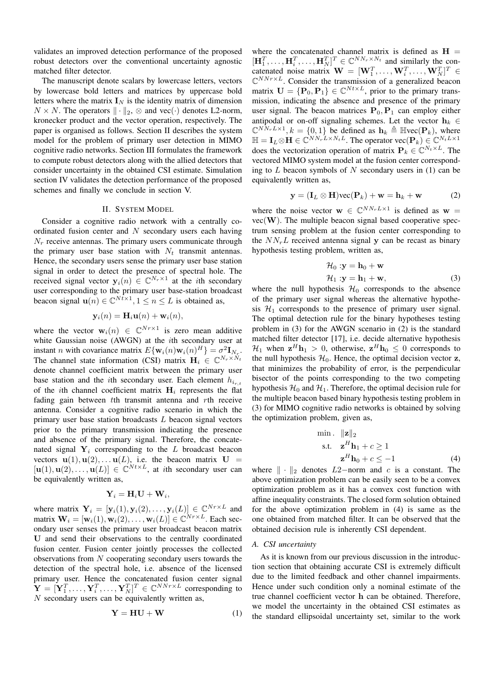validates an improved detection performance of the proposed robust detectors over the conventional uncertainty agnostic matched filter detector.

The manuscript denote scalars by lowercase letters, vectors by lowercase bold letters and matrices by uppercase bold letters where the matrix  $\mathbf{I}_N$  is the identity matrix of dimension  $N \times N$ . The operators  $\|\cdot\|_2$ ,  $\otimes$  and vec( $\cdot$ ) denotes L2-norm, kronecker product and the vector operation, respectively. The paper is organised as follows. Section II describes the system model for the problem of primary user detection in MIMO cognitive radio networks. Section III formulates the framework to compute robust detectors along with the allied detectors that consider uncertainty in the obtained CSI estimate. Simulation section IV validates the detection performance of the proposed schemes and finally we conclude in section V.

## II. SYSTEM MODEL

Consider a cognitive radio network with a centrally coordinated fusion center and  $N$  secondary users each having  $N_r$  receive antennas. The primary users communicate through the primary user base station with  $N_t$  transmit antennas. Hence, the secondary users sense the primary user base station signal in order to detect the presence of spectral hole. The received signal vector  $y_i(n) \in \mathbb{C}^{N_r \times 1}$  at the *i*th secondary user corresponding to the primary user base-station broadcast beacon signal  $\mathbf{u}(n) \in \mathbb{C}^{Nt \times 1}$ ,  $1 \leq n \leq L$  is obtained as,

$$
\mathbf{y}_i(n) = \mathbf{H}_i \mathbf{u}(n) + \mathbf{w}_i(n),
$$

where the vector  $\mathbf{w}_i(n) \in \mathbb{C}^{Nr \times 1}$  is zero mean additive white Gaussian noise  $(AWGN)$  at the *i*th secondary user at instant *n* with covariance matrix  $E{\{\mathbf{w}_i(n)\mathbf{w}_i(n)^H\}} = \sigma^2 \mathbf{I}_{N_r}$ . The channel state information (CSI) matrix  $\mathbf{H}_i \in \mathbb{C}^{N_r \times N_t}$ denote channel coefficient matrix between the primary user base station and the *i*th secondary user. Each element  $h_{i_{r,t}}$ of the *i*th channel coefficient matrix  $H_i$  represents the flat fading gain between  $t$ th transmit antenna and  $r$ th receive antenna. Consider a cognitive radio scenario in which the primary user base station broadcasts  $L$  beacon signal vectors prior to the primary transmission indicating the presence and absence of the primary signal. Therefore, the concatenated signal  $Y_i$  corresponding to the  $L$  broadcast beacon vectors  $\mathbf{u}(1), \mathbf{u}(2), \dots, \mathbf{u}(L)$ , i.e. the beacon matrix  $\mathbf{U} =$  $[\mathbf{u}(1), \mathbf{u}(2), \ldots, \mathbf{u}(L)] \in \mathbb{C}^{N_t \times L}$ , at *i*th secondary user can be equivalently written as,

$$
\mathbf{Y}_i = \mathbf{H}_i \mathbf{U} + \mathbf{W}_i,
$$

where matrix  $\mathbf{Y}_i = [\mathbf{y}_i(1), \mathbf{y}_i(2), \dots, \mathbf{y}_i(L)] \in \mathbb{C}^{Nr \times L}$  and matrix  $\mathbf{W}_i = [\mathbf{w}_i(1), \mathbf{w}_i(2), \dots, \mathbf{w}_i(L)] \in \mathbb{C}^{Nr \times L}$ . Each secondary user senses the primary user broadcast beacon matrix **U** and send their observations to the centrally coordinated fusion center. Fusion center jointly processes the collected observations from  $N$  cooperating secondary users towards the detection of the spectral hole, i.e. absence of the licensed primary user. Hence the concatenated fusion center signal  $\mathbf{Y} = [\mathbf{Y}_1^T, \dots, \mathbf{Y}_i^T, \dots, \mathbf{Y}_N^T]^T \in \mathbb{C}^{NNr \times L}$  corresponding to  $N$  secondary users can be equivalently written as,

$$
Y = HU + W \tag{1}
$$

where the concatenated channel matrix is defined as  $H =$  $[\mathbf{H}_1^T, \dots, \mathbf{H}_i^T, \dots, \mathbf{H}_N^T]^T \in \mathbb{C}^{NN_r \times N_t}$  and similarly the concatenated noise matrix  $\mathbf{W} = [\mathbf{W}_1^T, \dots, \mathbf{W}_i^T, \dots, \mathbf{W}_N^T]^T \in$  $\mathbb{C}^{NNr\times L}$ . Consider the transmission of a generalized beacon matrix  $\mathbf{U} = {\mathbf{P}_0, \mathbf{P}_1} \in \mathbb{C}^{N_t \times L}$ , prior to the primary transmission, indicating the absence and presence of the primary user signal. The beacon matrices  $P_0$ ,  $P_1$  can employ either antipodal or on-off signaling schemes. Let the vector  $\mathbf{h}_k$  ∈  $\mathbb{C}^{NN_rL\times1}, k = \{0,1\}$  be defined as  $\mathbf{h}_k \triangleq \mathbb{H}$ vec $(\mathbf{P}_k)$ , where  $\mathbb{H} = \mathbf{I}_L \otimes \mathbf{H} \in \mathbb{C}^{NN_rL \times N_tL}$ . The operator vec $(\mathbf{P}_k) \in \mathbb{C}^{N_tL \times 1}$ does the vectorization operation of matrix  $P_k \in \mathbb{C}^{N_t \times L}$ . The vectored MIMO system model at the fusion center corresponding to  $L$  beacon symbols of  $N$  secondary users in (1) can be equivalently written as,

$$
\mathbf{y} = (\mathbf{I}_L \otimes \mathbf{H}) \text{vec}(\mathbf{P}_k) + \mathbf{w} = \mathbf{h}_k + \mathbf{w} \tag{2}
$$

where the noise vector  $\mathbf{w} \in \mathbb{C}^{NN_rL \times 1}$  is defined as  $\mathbf{w} =$  $vec(\mathbf{W})$ . The multiple beacon signal based cooperative spectrum sensing problem at the fusion center corresponding to the  $NN<sub>r</sub>L$  received antenna signal y can be recast as binary hypothesis testing problem, written as,

$$
\mathcal{H}_0: \mathbf{y} = \mathbf{h}_0 + \mathbf{w}
$$
  

$$
\mathcal{H}_1: \mathbf{y} = \mathbf{h}_1 + \mathbf{w},
$$
 (3)

where the null hypothesis  $\mathcal{H}_0$  corresponds to the absence of the primary user signal whereas the alternative hypothesis  $\mathcal{H}_1$  corresponds to the presence of primary user signal. The optimal detection rule for the binary hypotheses testing problem in (3) for the AWGN scenario in (2) is the standard matched filter detector [17], i.e. decide alternative hypothesis  $\mathcal{H}_1$  when  $\mathbf{z}^H \mathbf{h}_1 > 0$ , otherwise,  $\mathbf{z}^H \mathbf{h}_0 \leq 0$  corresponds to the null hypothesis  $\mathcal{H}_0$ . Hence, the optimal decision vector **z**, that minimizes the probability of error, is the perpendicular bisector of the points corresponding to the two competing hypothesis  $\mathcal{H}_0$  and  $\mathcal{H}_1$ . Therefore, the optimal decision rule for the multiple beacon based binary hypothesis testing problem in (3) for MIMO cognitive radio networks is obtained by solving the optimization problem, given as,

$$
\begin{array}{ll}\n\text{min.} & \|\mathbf{z}\|_2 \\
\text{s.t.} & \mathbf{z}^H \mathbf{h}_1 + c \ge 1 \\
& \mathbf{z}^H \mathbf{h}_0 + c \le -1\n\end{array} \tag{4}
$$

where  $\|\cdot\|_2$  denotes  $L2$ -norm and  $c$  is a constant. The above optimization problem can be easily seen to be a convex optimization problem as it has a convex cost function with affine inequality constraints. The closed form solution obtained for the above optimization problem in (4) is same as the one obtained from matched filter. It can be observed that the obtained decision rule is inherently CSI dependent.

# *A. CSI uncertainty*

As it is known from our previous discussion in the introduction section that obtaining accurate CSI is extremely difficult due to the limited feedback and other channel impairments. Hence under such condition only a nominal estimate of the true channel coefficient vector **h** can be obtained. Therefore, we model the uncertainty in the obtained CSI estimates as the standard ellipsoidal uncertainty set, similar to the work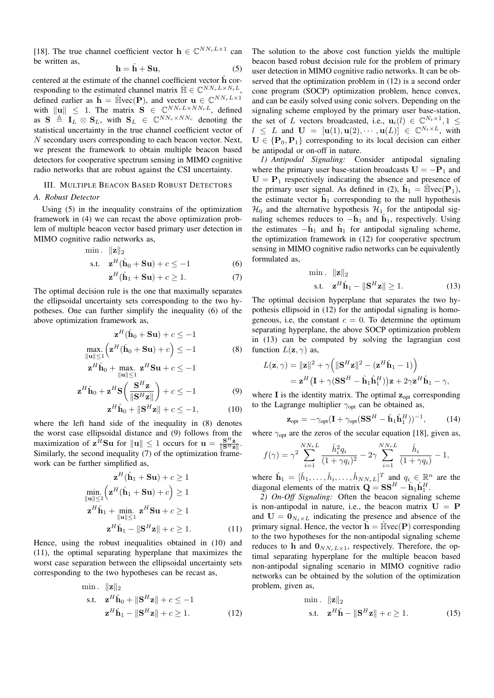[18]. The true channel coefficient vector  $\mathbf{h} \in \mathbb{C}^{NN_rL \times 1}$  can be written as,

$$
\mathbf{h} = \hat{\mathbf{h}} + \mathbf{S}\mathbf{u},\tag{5}
$$

centered at the estimate of the channel coefficient vector **h**ˆ corresponding to the estimated channel matrix  $\hat{\mathbb{H}} \in \mathbb{C}^{NN_rL \times N_tL}$ . defined earlier as  $\hat{\mathbf{h}} = \hat{\mathbb{H}} \text{vec}(\mathbf{P})$ , and vector  $\mathbf{u} \in \mathbb{C}^{NN_rL \times 1}$ with  $\|\mathbf{u}\| \leq 1$ . The matrix  $\mathbf{S} \in \mathbb{C}^{NN_rL \times NN_rL}$ , defined as  $S \triangleq I_L \otimes S_L$ , with  $S_L \in \mathbb{C}^{NN_r \times NN_r}$  denoting the statistical uncertainty in the true channel coefficient vector of  $N$  secondary users corresponding to each beacon vector. Next, we present the framework to obtain multiple beacon based detectors for cooperative spectrum sensing in MIMO cognitive radio networks that are robust against the CSI uncertainty.

# III. MULTIPLE BEACON BASED ROBUST DETECTORS

#### *A. Robust Detector*

Using (5) in the inequality constrains of the optimization framework in (4) we can recast the above optimization problem of multiple beacon vector based primary user detection in MIMO cognitive radio networks as,

$$
\begin{array}{ll}\n\text{min.} & \|\mathbf{z}\|_2 \\
\text{s.t.} & \mathbf{z}^H(\hat{\mathbf{h}}_0 + \mathbf{S}\mathbf{u}) + c \le -1 \\
& \mathbf{z}^H(\hat{\mathbf{h}}_1 + \mathbf{S}\mathbf{u}) + c \ge 1.\n\end{array} \tag{6}
$$

The optimal decision rule is the one that maximally separates the ellipsoidal uncertainty sets corresponding to the two hypotheses. One can further simplify the inequality (6) of the above optimization framework as,

$$
\mathbf{z}^{H}(\hat{\mathbf{h}}_{0} + \mathbf{S}\mathbf{u}) + c \le -1
$$
  
\n
$$
\max_{\|\mathbf{u}\| \le 1} \left( \mathbf{z}^{H}(\hat{\mathbf{h}}_{0} + \mathbf{S}\mathbf{u}) + c \right) \le -1
$$
 (8)

$$
\mathbf{z}^H \hat{\mathbf{h}}_0 + \max_{\|\mathbf{u}\| \le 1} \mathbf{z}^H \mathbf{S} \mathbf{u} + c \le -1
$$

$$
\mathbf{z}^H \hat{\mathbf{h}}_0 + \mathbf{z}^H \mathbf{S} \left( \frac{\mathbf{S}^H \mathbf{z}}{\|\mathbf{S}^H \mathbf{z}\|} \right) + c \le -1 \tag{9}
$$

$$
\mathbf{z}^H \hat{\mathbf{h}}_0 + \|\mathbf{S}^H \mathbf{z}\| + c \le -1,\tag{10}
$$

where the left hand side of the inequality in (8) denotes the worst case ellipsoidal distance and (9) follows from the maximization of  $\mathbf{z}^H \mathbf{S} \mathbf{u}$  for  $\|\mathbf{u}\| \leq 1$  occurs for  $\mathbf{u} = \frac{\mathbf{S}^H \mathbf{z}}{\|\mathbf{S}^H \mathbf{z}\|}$ .<br>Similarly, the second inequality (7) of the optimization framework can be further simplified as,

$$
\mathbf{z}^{H}(\hat{\mathbf{h}}_{1} + \mathbf{S}\mathbf{u}) + c \ge 1
$$
  
\n
$$
\min_{\|\mathbf{u}\| \le 1} \left( \mathbf{z}^{H}(\hat{\mathbf{h}}_{1} + \mathbf{S}\mathbf{u}) + c \right) \ge 1
$$
  
\n
$$
\mathbf{z}^{H}\hat{\mathbf{h}}_{1} + \min_{\|\mathbf{u}\| \le 1} \mathbf{z}^{H}\mathbf{S}\mathbf{u} + c \ge 1
$$
  
\n
$$
\mathbf{z}^{H}\hat{\mathbf{h}}_{1} - \|\mathbf{S}^{H}\mathbf{z}\| + c \ge 1.
$$
 (11)

Hence, using the robust inequalities obtained in (10) and (11), the optimal separating hyperplane that maximizes the worst case separation between the ellipsoidal uncertainty sets corresponding to the two hypotheses can be recast as,

$$
\begin{aligned}\n\min. & \|\mathbf{z}\|_{2} \\
\text{s.t.} & \mathbf{z}^{H}\hat{\mathbf{h}}_{0} + \|\mathbf{S}^{H}\mathbf{z}\| + c \leq -1 \\
& \mathbf{z}^{H}\hat{\mathbf{h}}_{1} - \|\mathbf{S}^{H}\mathbf{z}\| + c \geq 1.\n\end{aligned}
$$
\n
$$
(12)
$$

The solution to the above cost function yields the multiple beacon based robust decision rule for the problem of primary user detection in MIMO cognitive radio networks. It can be observed that the optimization problem in (12) is a second order cone program (SOCP) optimization problem, hence convex, and can be easily solved using conic solvers. Depending on the signaling scheme employed by the primary user base-station, the set of L vectors broadcasted, i.e.,  $\mathbf{u}_i(l) \in \mathbb{C}^{N_t \times 1}, 1 \leq$  $l \leq L$  and  $\mathbf{U} = [\mathbf{u}(1), \mathbf{u}(2), \cdots, \mathbf{u}(L)] \in \mathbb{C}^{N_t \times L}$ , with  $U \in \{P_0, P_1\}$  corresponding to its local decision can either be antipodal or on-off in nature.

*1) Antipodal Signaling:* Consider antipodal signaling where the primary user base-station broadcasts  $U = -P_1$  and  $U = P_1$  respectively indicating the absence and presence of the primary user signal. As defined in (2),  $\hat{\mathbf{h}}_1 = \hat{\mathbb{H}} \text{vec}(\mathbf{P}_1)$ , the estimate vector  $\mathbf{h}_1$  corresponding to the null hypothesis  $\mathcal{H}_0$  and the alternative hypothesis  $\mathcal{H}_1$  for the antipodal signaling schemes reduces to  $-\mathbf{h}_1$  and  $\mathbf{h}_1$ , respectively. Using the estimates  $-\hat{\mathbf{h}}_1$  and  $\hat{\mathbf{h}}_1$  for antipodal signaling scheme, the optimization framework in (12) for cooperative spectrum sensing in MIMO cognitive radio networks can be equivalently formulated as,

$$
\begin{aligned}\n\min. & \| \mathbf{z} \|_2 \\
\text{s.t.} & \quad \mathbf{z}^H \hat{\mathbf{h}}_1 - \| \mathbf{S}^H \mathbf{z} \| \ge 1. \n\end{aligned} \tag{13}
$$

The optimal decision hyperplane that separates the two hypothesis ellipsoid in (12) for the antipodal signaling is homogeneous, i.e, the constant  $c = 0$ . To determine the optimum separating hyperplane, the above SOCP optimization problem in (13) can be computed by solving the lagrangian cost function  $L(\mathbf{z}, \gamma)$  as,

$$
L(\mathbf{z}, \gamma) = \|\mathbf{z}\|^2 + \gamma \left( \|\mathbf{S}^H \mathbf{z}\|^2 - (\mathbf{z}^H \hat{\mathbf{h}}_1 - 1) \right)
$$
  
=  $\mathbf{z}^H (\mathbf{I} + \gamma (\mathbf{S} \mathbf{S}^H - \hat{\mathbf{h}}_1 \hat{\mathbf{h}}_1^H)) \mathbf{z} + 2\gamma \mathbf{z}^H \hat{\mathbf{h}}_1 - \gamma,$ 

where **I** is the identity matrix. The optimal  $z_{opt}$  corresponding to the Lagrange multiplier  $\gamma_{opt}$  can be obtained as,

$$
\mathbf{z}_{\text{opt}} = -\gamma_{\text{opt}} (\mathbf{I} + \gamma_{\text{opt}} (\mathbf{S} \mathbf{S}^H - \hat{\mathbf{h}}_1 \hat{\mathbf{h}}_1^H))^{-1}, \tag{14}
$$

where  $\gamma_{\text{opt}}$  are the zeros of the secular equation [18], given as,

$$
f(\gamma) = \gamma^2 \sum_{i=1}^{NN_r L} \frac{\hat{h}_i^2 q_i}{(1 + \gamma q_i)^2} - 2\gamma \sum_{i=1}^{NN_r L} \frac{\hat{h}_i}{(1 + \gamma q_i)} - 1,
$$

where  $\hat{\mathbf{h}}_1 = [\hat{h}_1, \dots, \hat{h}_i, \dots, \hat{h}_{NN_rL}]^T$  and  $q_i \in \mathbb{R}^n$  are the diagonal elements of the matrix  $\mathbf{Q} = \mathbf{S}\mathbf{S}^H - \hat{\mathbf{h}}_1\hat{\mathbf{h}}_1^H$ .

*2) On-Off Signaling:* Often the beacon signaling scheme is non-antipodal in nature, i.e., the beacon matrix  $U = P$ and  $U = 0_{N_t \times L}$  indicating the presence and absence of the primary signal. Hence, the vector  $\hat{\mathbf{h}} = \hat{\mathbb{H}} \text{vec}(\mathbf{P})$  corresponding to the two hypotheses for the non-antipodal signaling scheme reduces to **h** and  $\mathbf{0}_{NN_rL\times1}$ , respectively. Therefore, the optimal separating hyperplane for the multiple beacon based non-antipodal signaling scenario in MIMO cognitive radio networks can be obtained by the solution of the optimization problem, given as,

$$
\begin{aligned}\n\min. & \| \mathbf{z} \|_2 \\
\text{s.t.} \quad \mathbf{z}^H \hat{\mathbf{h}} - \| \mathbf{S}^H \mathbf{z} \| + c \ge 1. \n\end{aligned} \tag{15}
$$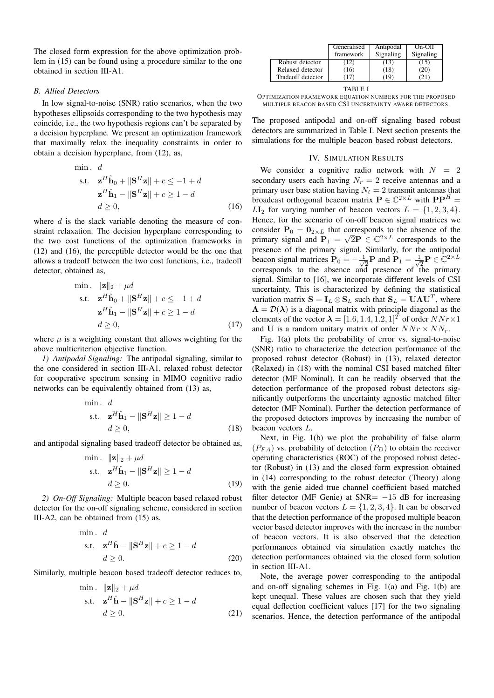The closed form expression for the above optimization problem in (15) can be found using a procedure similar to the one obtained in section III-A1.

### *B. Allied Detectors*

In low signal-to-noise (SNR) ratio scenarios, when the two hypotheses ellipsoids corresponding to the two hypothesis may coincide, i.e., the two hypothesis regions can't be separated by a decision hyperplane. We present an optimization framework that maximally relax the inequality constraints in order to obtain a decision hyperplane, from (12), as,

min. 
$$
d
$$
  
\ns.t.  $\mathbf{z}^H \hat{\mathbf{h}}_0 + ||\mathbf{S}^H \mathbf{z}|| + c \le -1 + d$   
\n $\mathbf{z}^H \hat{\mathbf{h}}_1 - ||\mathbf{S}^H \mathbf{z}|| + c \ge 1 - d$   
\n $d \ge 0,$  (16)

where  $d$  is the slack variable denoting the measure of constraint relaxation. The decision hyperplane corresponding to the two cost functions of the optimization frameworks in (12) and (16), the perceptible detector would be the one that allows a tradeoff between the two cost functions, i.e., tradeoff detector, obtained as,

$$
\begin{aligned}\n\min. & \|\mathbf{z}\|_2 + \mu d \\
\text{s.t.} & \mathbf{z}^H \hat{\mathbf{h}}_0 + \|\mathbf{S}^H \mathbf{z}\| + c \le -1 + d \\
& \mathbf{z}^H \hat{\mathbf{h}}_1 - \|\mathbf{S}^H \mathbf{z}\| + c \ge 1 - d \\
& d \ge 0,\n\end{aligned} \tag{17}
$$

where  $\mu$  is a weighting constant that allows weighting for the above multicriterion objective function.

*1) Antipodal Signaling:* The antipodal signaling, similar to the one considered in section III-A1, relaxed robust detector for cooperative spectrum sensing in MIMO cognitive radio networks can be equivalently obtained from (13) as,

$$
\begin{aligned}\n\min. \quad d \\
\text{s.t.} \quad \mathbf{z}^H \hat{\mathbf{h}}_1 - \|\mathbf{S}^H \mathbf{z}\| \ge 1 - d \\
\quad d \ge 0,\n\end{aligned} \tag{18}
$$

and antipodal signaling based tradeoff detector be obtained as,

$$
\begin{aligned}\n\min. & \| \mathbf{z} \|_2 + \mu d \\
\text{s.t.} & \quad \mathbf{z}^H \hat{\mathbf{h}}_1 - \| \mathbf{S}^H \mathbf{z} \| \ge 1 - d \\
& d \ge 0. \n\end{aligned} \tag{19}
$$

*2) On-Off Signaling:* Multiple beacon based relaxed robust detector for the on-off signaling scheme, considered in section III-A2, can be obtained from (15) as,

min. 
$$
d
$$
  
s.t.  $\mathbf{z}^H \hat{\mathbf{h}} - ||\mathbf{S}^H \mathbf{z}|| + c \ge 1 - d$   
 $d \ge 0.$  (20)

Similarly, multiple beacon based tradeoff detector reduces to,

$$
\begin{aligned}\n\min. \quad & \|\mathbf{z}\|_2 + \mu d \\
\text{s.t.} \quad & \mathbf{z}^H \hat{\mathbf{h}} - \|\mathbf{S}^H \mathbf{z}\| + c \ge 1 - d \\
& d \ge 0.\n\end{aligned} \tag{21}
$$

| Generalised | Antipodal | $On$ - $Off$ |
|-------------|-----------|--------------|
| framework   | Signaling | Signaling    |
| (12)        | (13)      | (15)         |
| (16)        | (18)      | (20)         |
|             | 19        |              |
|             |           |              |

OPTIMIZATION FRAMEWORK EQUATION NUMBERS FOR THE PROPOSED MULTIPLE BEACON BASED CSI UNCERTAINTY AWARE DETECTORS.

The proposed antipodal and on-off signaling based robust detectors are summarized in Table I. Next section presents the simulations for the multiple beacon based robust detectors.

#### IV. SIMULATION RESULTS

We consider a cognitive radio network with  $N = 2$ secondary users each having  $N_r = 2$  receive antennas and a primary user base station having  $N_t = 2$  transmit antennas that broadcast orthogonal beacon matrix  $P \in \mathbb{C}^{2 \times L}$  with  $PP^H =$  $L\mathbf{I}_2$  for varying number of beacon vectors  $L = \{1, 2, 3, 4\}.$ Hence, for the scenario of on-off beacon signal matrices we consider  $P_0 = 0_{2 \times L}$  that corresponds to the absence of the primary signal and  $P_1 = \sqrt{2}P \in \mathbb{C}^{2 \times L}$  corresponds to the presence of the primary signal. Similarly, for the antipodal beacon signal matrices  $P_0 = -\frac{1}{\sqrt{2}}P$  and  $P_1 = \frac{1}{\sqrt{2}}P \in \mathbb{C}^{2 \times L}$ corresponds to the absence and presence of the primary signal. Similar to [16], we incorporate different levels of CSI uncertainty. This is characterized by defining the statistical variation matrix  $S = I_L \otimes S_L$  such that  $S_L = U \Lambda U^T$ , where  $\Lambda = \mathcal{D}(\lambda)$  is a diagonal matrix with principle diagonal as the elements of the vector  $\boldsymbol{\lambda} = [1.6, 1.4, 1.2, 1]^T$  of order  $NNr \times 1$ and U is a random unitary matrix of order  $NNr \times NN_r$ .

Fig. 1(a) plots the probability of error vs. signal-to-noise (SNR) ratio to characterize the detection performance of the proposed robust detector (Robust) in (13), relaxed detector (Relaxed) in (18) with the nominal CSI based matched filter detector (MF Nominal). It can be readily observed that the detection performance of the proposed robust detectors significantly outperforms the uncertainty agnostic matched filter detector (MF Nominal). Further the detection performance of the proposed detectors improves by increasing the number of beacon vectors  $L$ .

Next, in Fig. 1(b) we plot the probability of false alarm  $(P_{FA})$  vs. probability of detection  $(P_D)$  to obtain the receiver operating characteristics (ROC) of the proposed robust detector (Robust) in (13) and the closed form expression obtained in (14) corresponding to the robust detector (Theory) along with the genie aided true channel coefficient based matched filter detector (MF Genie) at  $SNR = -15$  dB for increasing number of beacon vectors  $L = \{1, 2, 3, 4\}$ . It can be observed that the detection performance of the proposed multiple beacon vector based detector improves with the increase in the number of beacon vectors. It is also observed that the detection performances obtained via simulation exactly matches the detection performances obtained via the closed form solution in section III-A1.

Note, the average power corresponding to the antipodal and on-off signaling schemes in Fig. 1(a) and Fig. 1(b) are kept unequal. These values are chosen such that they yield equal deflection coefficient values [17] for the two signaling scenarios. Hence, the detection performance of the antipodal